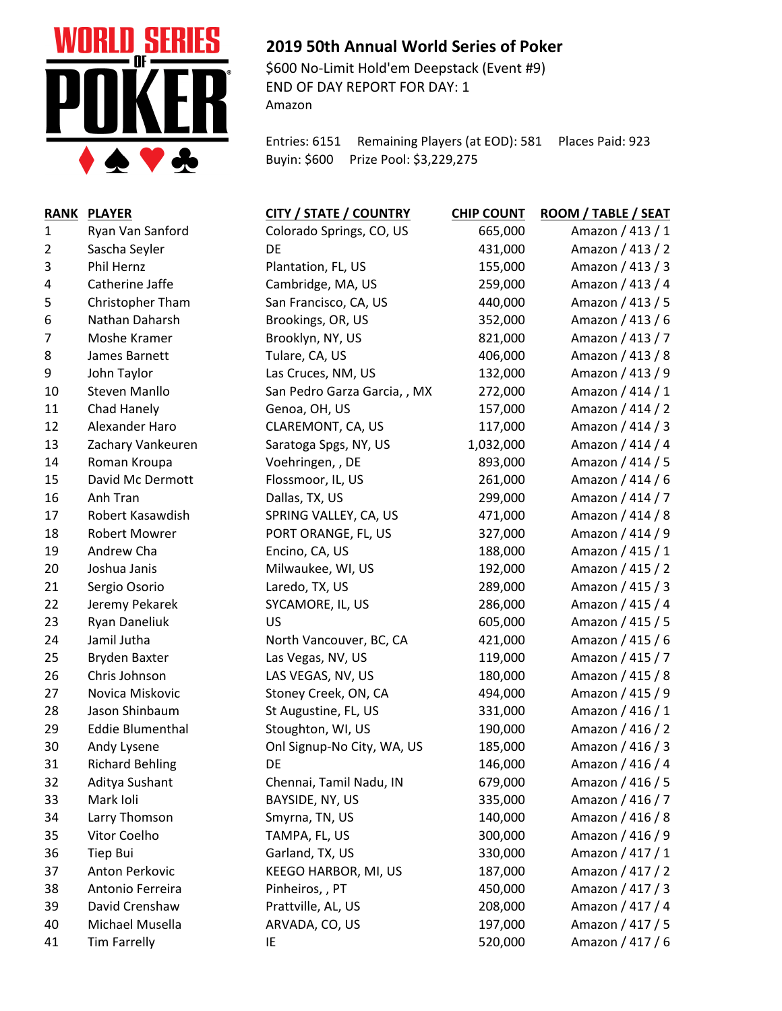

## **2019 50th Annual World Series of Poker**

\$600 No-Limit Hold'em Deepstack (Event #9) END OF DAY REPORT FOR DAY: 1 Amazon

Entries: 6151 Remaining Players (at EOD): 581 Places Paid: 923 Buyin: \$600 Prize Pool: \$3,229,275

| <b>RANK</b>    | <b>PLAYER</b>           | <b>CITY / STATE / COUNTRY</b> | <b>CHIP COUNT</b> | <b>ROOM / TABLE / SEAT</b> |
|----------------|-------------------------|-------------------------------|-------------------|----------------------------|
| $\mathbf{1}$   | Ryan Van Sanford        | Colorado Springs, CO, US      | 665,000           | Amazon / 413 / 1           |
| $\overline{2}$ | Sascha Seyler           | DE                            | 431,000           | Amazon / 413 / 2           |
| 3              | Phil Hernz              | Plantation, FL, US            | 155,000           | Amazon / 413 / 3           |
| 4              | Catherine Jaffe         | Cambridge, MA, US             | 259,000           | Amazon / 413 / 4           |
| 5              | Christopher Tham        | San Francisco, CA, US         | 440,000           | Amazon / 413 / 5           |
| 6              | Nathan Daharsh          | Brookings, OR, US             | 352,000           | Amazon / 413 / 6           |
| 7              | Moshe Kramer            | Brooklyn, NY, US              | 821,000           | Amazon / 413 / 7           |
| 8              | James Barnett           | Tulare, CA, US                | 406,000           | Amazon / 413 / 8           |
| 9              | John Taylor             | Las Cruces, NM, US            | 132,000           | Amazon / 413 / 9           |
| 10             | <b>Steven Manllo</b>    | San Pedro Garza Garcia, , MX  | 272,000           | Amazon / 414 / 1           |
| 11             | Chad Hanely             | Genoa, OH, US                 | 157,000           | Amazon / 414 / 2           |
| 12             | Alexander Haro          | CLAREMONT, CA, US             | 117,000           | Amazon / 414 / 3           |
| 13             | Zachary Vankeuren       | Saratoga Spgs, NY, US         | 1,032,000         | Amazon / 414 / 4           |
| 14             | Roman Kroupa            | Voehringen, , DE              | 893,000           | Amazon / 414 / 5           |
| 15             | David Mc Dermott        | Flossmoor, IL, US             | 261,000           | Amazon / 414 / 6           |
| 16             | Anh Tran                | Dallas, TX, US                | 299,000           | Amazon / 414 / 7           |
| 17             | Robert Kasawdish        | SPRING VALLEY, CA, US         | 471,000           | Amazon / 414 / 8           |
| 18             | <b>Robert Mowrer</b>    | PORT ORANGE, FL, US           | 327,000           | Amazon / 414 / 9           |
| 19             | Andrew Cha              | Encino, CA, US                | 188,000           | Amazon / 415 / 1           |
| 20             | Joshua Janis            | Milwaukee, WI, US             | 192,000           | Amazon / 415 / 2           |
| 21             | Sergio Osorio           | Laredo, TX, US                | 289,000           | Amazon / 415 / 3           |
| 22             | Jeremy Pekarek          | SYCAMORE, IL, US              | 286,000           | Amazon / 415 / 4           |
| 23             | <b>Ryan Daneliuk</b>    | US                            | 605,000           | Amazon / 415 / 5           |
| 24             | Jamil Jutha             | North Vancouver, BC, CA       | 421,000           | Amazon / 415 / 6           |
| 25             | <b>Bryden Baxter</b>    | Las Vegas, NV, US             | 119,000           | Amazon / 415 / 7           |
| 26             | Chris Johnson           | LAS VEGAS, NV, US             | 180,000           | Amazon / 415 / 8           |
| 27             | Novica Miskovic         | Stoney Creek, ON, CA          | 494,000           | Amazon / 415 / 9           |
| 28             | Jason Shinbaum          | St Augustine, FL, US          | 331,000           | Amazon / 416 / 1           |
| 29             | <b>Eddie Blumenthal</b> | Stoughton, WI, US             | 190,000           | Amazon / 416 / 2           |
| 30             | Andy Lysene             | Onl Signup-No City, WA, US    | 185,000           | Amazon / 416 / 3           |
| 31             | <b>Richard Behling</b>  | DE                            | 146,000           | Amazon / 416 / 4           |
| 32             | Aditya Sushant          | Chennai, Tamil Nadu, IN       | 679,000           | Amazon / 416 / 5           |
| 33             | Mark Ioli               | BAYSIDE, NY, US               | 335,000           | Amazon / 416 / 7           |
| 34             | Larry Thomson           | Smyrna, TN, US                | 140,000           | Amazon / 416 / 8           |
| 35             | Vitor Coelho            | TAMPA, FL, US                 | 300,000           | Amazon / 416 / 9           |
| 36             | Tiep Bui                | Garland, TX, US               | 330,000           | Amazon / 417 / 1           |
| 37             | Anton Perkovic          | KEEGO HARBOR, MI, US          | 187,000           | Amazon / 417 / 2           |
| 38             | Antonio Ferreira        | Pinheiros, , PT               | 450,000           | Amazon / 417 / 3           |
| 39             | David Crenshaw          | Prattville, AL, US            | 208,000           | Amazon / 417 / 4           |
| 40             | Michael Musella         | ARVADA, CO, US                | 197,000           | Amazon / 417 / 5           |
| 41             | <b>Tim Farrelly</b>     | IE                            | 520,000           | Amazon / 417 / 6           |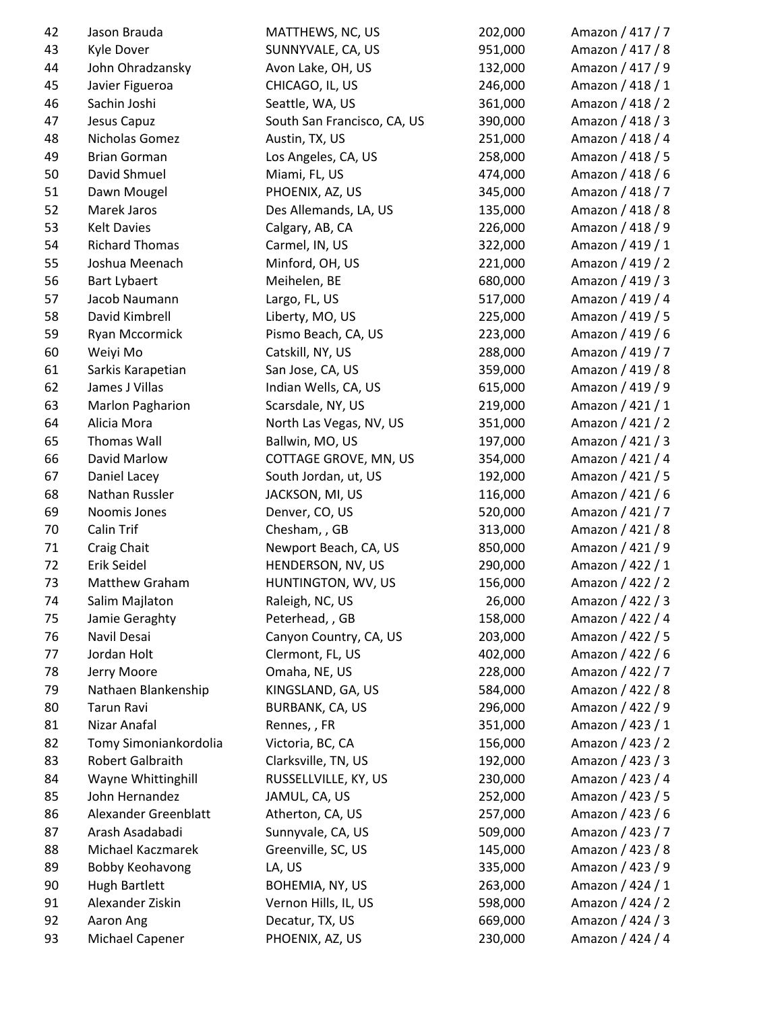| 42 | Jason Brauda           | MATTHEWS, NC, US            | 202,000 | Amazon / 417 / 7 |
|----|------------------------|-----------------------------|---------|------------------|
| 43 | Kyle Dover             | SUNNYVALE, CA, US           | 951,000 | Amazon / 417 / 8 |
| 44 | John Ohradzansky       | Avon Lake, OH, US           | 132,000 | Amazon / 417 / 9 |
| 45 | Javier Figueroa        | CHICAGO, IL, US             | 246,000 | Amazon / 418 / 1 |
| 46 | Sachin Joshi           | Seattle, WA, US             | 361,000 | Amazon / 418 / 2 |
| 47 | Jesus Capuz            | South San Francisco, CA, US | 390,000 | Amazon / 418 / 3 |
| 48 | Nicholas Gomez         | Austin, TX, US              | 251,000 | Amazon / 418 / 4 |
| 49 | <b>Brian Gorman</b>    | Los Angeles, CA, US         | 258,000 | Amazon / 418 / 5 |
| 50 | David Shmuel           | Miami, FL, US               | 474,000 | Amazon / 418 / 6 |
| 51 | Dawn Mougel            | PHOENIX, AZ, US             | 345,000 | Amazon / 418 / 7 |
| 52 | Marek Jaros            | Des Allemands, LA, US       | 135,000 | Amazon / 418 / 8 |
| 53 | <b>Kelt Davies</b>     | Calgary, AB, CA             | 226,000 | Amazon / 418 / 9 |
| 54 | <b>Richard Thomas</b>  | Carmel, IN, US              | 322,000 | Amazon / 419 / 1 |
| 55 | Joshua Meenach         | Minford, OH, US             | 221,000 | Amazon / 419 / 2 |
| 56 | <b>Bart Lybaert</b>    | Meihelen, BE                | 680,000 | Amazon / 419 / 3 |
| 57 | Jacob Naumann          | Largo, FL, US               | 517,000 | Amazon / 419 / 4 |
| 58 | David Kimbrell         | Liberty, MO, US             | 225,000 | Amazon / 419 / 5 |
| 59 | Ryan Mccormick         | Pismo Beach, CA, US         | 223,000 | Amazon / 419 / 6 |
| 60 | Weiyi Mo               | Catskill, NY, US            | 288,000 | Amazon / 419 / 7 |
| 61 | Sarkis Karapetian      | San Jose, CA, US            | 359,000 | Amazon / 419 / 8 |
| 62 | James J Villas         | Indian Wells, CA, US        | 615,000 | Amazon / 419 / 9 |
| 63 | Marlon Pagharion       | Scarsdale, NY, US           | 219,000 | Amazon / 421 / 1 |
| 64 | Alicia Mora            | North Las Vegas, NV, US     | 351,000 | Amazon / 421 / 2 |
| 65 | Thomas Wall            | Ballwin, MO, US             | 197,000 | Amazon / 421 / 3 |
| 66 | David Marlow           | COTTAGE GROVE, MN, US       | 354,000 | Amazon / 421 / 4 |
| 67 | Daniel Lacey           | South Jordan, ut, US        | 192,000 | Amazon / 421 / 5 |
| 68 | Nathan Russler         | JACKSON, MI, US             | 116,000 | Amazon / 421 / 6 |
| 69 | Noomis Jones           | Denver, CO, US              | 520,000 | Amazon / 421 / 7 |
| 70 | <b>Calin Trif</b>      | Chesham, , GB               | 313,000 | Amazon / 421 / 8 |
| 71 | Craig Chait            | Newport Beach, CA, US       | 850,000 | Amazon / 421 / 9 |
| 72 | Erik Seidel            | HENDERSON, NV, US           | 290,000 | Amazon / 422 / 1 |
| 73 | Matthew Graham         | HUNTINGTON, WV, US          | 156,000 | Amazon / 422 / 2 |
| 74 | Salim Majlaton         | Raleigh, NC, US             | 26,000  | Amazon / 422 / 3 |
| 75 | Jamie Geraghty         | Peterhead, , GB             | 158,000 | Amazon / 422 / 4 |
| 76 | Navil Desai            | Canyon Country, CA, US      | 203,000 | Amazon / 422 / 5 |
| 77 | Jordan Holt            | Clermont, FL, US            | 402,000 | Amazon / 422 / 6 |
| 78 | Jerry Moore            | Omaha, NE, US               | 228,000 | Amazon / 422 / 7 |
| 79 | Nathaen Blankenship    | KINGSLAND, GA, US           | 584,000 | Amazon / 422 / 8 |
| 80 | Tarun Ravi             | <b>BURBANK, CA, US</b>      | 296,000 | Amazon / 422 / 9 |
| 81 | Nizar Anafal           | Rennes, , FR                | 351,000 | Amazon / 423 / 1 |
| 82 | Tomy Simoniankordolia  | Victoria, BC, CA            | 156,000 | Amazon / 423 / 2 |
| 83 | Robert Galbraith       | Clarksville, TN, US         | 192,000 | Amazon / 423 / 3 |
| 84 | Wayne Whittinghill     | RUSSELLVILLE, KY, US        | 230,000 | Amazon / 423 / 4 |
| 85 | John Hernandez         | JAMUL, CA, US               | 252,000 | Amazon / 423 / 5 |
| 86 | Alexander Greenblatt   | Atherton, CA, US            | 257,000 | Amazon / 423 / 6 |
| 87 | Arash Asadabadi        | Sunnyvale, CA, US           | 509,000 | Amazon / 423 / 7 |
| 88 | Michael Kaczmarek      | Greenville, SC, US          | 145,000 | Amazon / 423 / 8 |
| 89 | <b>Bobby Keohavong</b> | LA, US                      | 335,000 | Amazon / 423 / 9 |
| 90 | <b>Hugh Bartlett</b>   | BOHEMIA, NY, US             | 263,000 | Amazon / 424 / 1 |
| 91 | Alexander Ziskin       | Vernon Hills, IL, US        | 598,000 | Amazon / 424 / 2 |
| 92 | Aaron Ang              | Decatur, TX, US             | 669,000 | Amazon / 424 / 3 |
| 93 | Michael Capener        | PHOENIX, AZ, US             | 230,000 | Amazon / 424 / 4 |
|    |                        |                             |         |                  |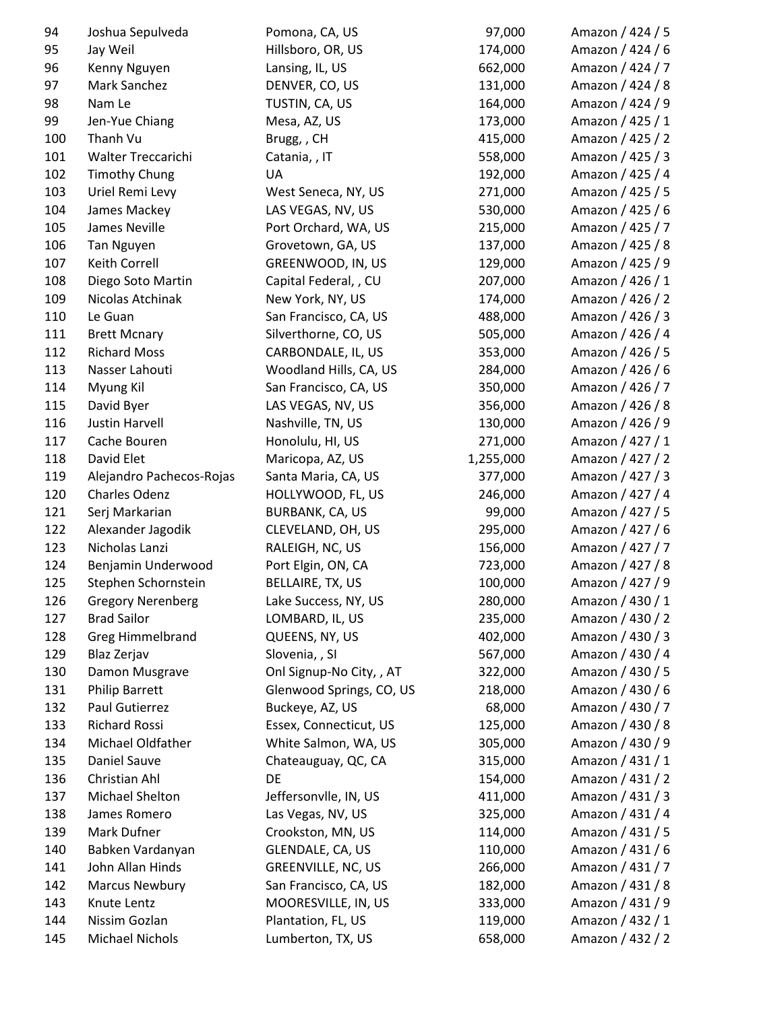| 94  | Joshua Sepulveda         | Pomona, CA, US                                | 97,000    | Amazon / 424 / 5 |
|-----|--------------------------|-----------------------------------------------|-----------|------------------|
| 95  | Jay Weil                 | Hillsboro, OR, US                             | 174,000   | Amazon / 424 / 6 |
| 96  | Kenny Nguyen             | Lansing, IL, US                               | 662,000   | Amazon / 424 / 7 |
| 97  | Mark Sanchez             | DENVER, CO, US                                | 131,000   | Amazon / 424 / 8 |
| 98  | Nam Le                   | TUSTIN, CA, US                                | 164,000   | Amazon / 424 / 9 |
| 99  | Jen-Yue Chiang           | Mesa, AZ, US                                  | 173,000   | Amazon / 425 / 1 |
| 100 | Thanh Vu                 | Brugg,, CH                                    | 415,000   | Amazon / 425 / 2 |
| 101 | Walter Treccarichi       | Catania, , IT                                 | 558,000   | Amazon / 425 / 3 |
| 102 | <b>Timothy Chung</b>     | UA                                            | 192,000   | Amazon / 425 / 4 |
| 103 | Uriel Remi Levy          | West Seneca, NY, US                           | 271,000   | Amazon / 425 / 5 |
| 104 | James Mackey             | LAS VEGAS, NV, US                             | 530,000   | Amazon / 425 / 6 |
| 105 | James Neville            | Port Orchard, WA, US                          | 215,000   | Amazon / 425 / 7 |
| 106 | Tan Nguyen               | Grovetown, GA, US                             | 137,000   | Amazon / 425 / 8 |
| 107 | Keith Correll            | GREENWOOD, IN, US                             | 129,000   | Amazon / 425 / 9 |
| 108 | Diego Soto Martin        | Capital Federal, , CU                         | 207,000   | Amazon / 426 / 1 |
| 109 | Nicolas Atchinak         | New York, NY, US                              | 174,000   | Amazon / 426 / 2 |
| 110 | Le Guan                  | San Francisco, CA, US                         | 488,000   | Amazon / 426 / 3 |
| 111 | <b>Brett Mcnary</b>      | Silverthorne, CO, US                          | 505,000   | Amazon / 426 / 4 |
| 112 | <b>Richard Moss</b>      | CARBONDALE, IL, US                            | 353,000   | Amazon / 426 / 5 |
| 113 | Nasser Lahouti           | Woodland Hills, CA, US                        | 284,000   | Amazon / 426 / 6 |
| 114 | Myung Kil                | San Francisco, CA, US                         | 350,000   | Amazon / 426 / 7 |
| 115 | David Byer               | LAS VEGAS, NV, US                             | 356,000   | Amazon / 426 / 8 |
| 116 | <b>Justin Harvell</b>    | Nashville, TN, US                             | 130,000   | Amazon / 426 / 9 |
| 117 | Cache Bouren             | Honolulu, HI, US                              | 271,000   | Amazon / 427 / 1 |
| 118 | David Elet               | Maricopa, AZ, US                              | 1,255,000 | Amazon / 427 / 2 |
| 119 | Alejandro Pachecos-Rojas | Santa Maria, CA, US                           | 377,000   | Amazon / 427 / 3 |
| 120 | Charles Odenz            | HOLLYWOOD, FL, US                             | 246,000   | Amazon / 427 / 4 |
| 121 | Serj Markarian           | BURBANK, CA, US                               | 99,000    | Amazon / 427 / 5 |
| 122 | Alexander Jagodik        | CLEVELAND, OH, US                             | 295,000   | Amazon / 427 / 6 |
| 123 | Nicholas Lanzi           | RALEIGH, NC, US                               | 156,000   | Amazon / 427 / 7 |
| 124 | Benjamin Underwood       | Port Elgin, ON, CA                            | 723,000   | Amazon / 427 / 8 |
| 125 | Stephen Schornstein      | BELLAIRE, TX, US                              | 100,000   | Amazon / 427 / 9 |
| 126 | <b>Gregory Nerenberg</b> | Lake Success, NY, US                          | 280,000   | Amazon / 430 / 1 |
| 127 | <b>Brad Sailor</b>       | LOMBARD, IL, US                               | 235,000   | Amazon / 430 / 2 |
| 128 | <b>Greg Himmelbrand</b>  | QUEENS, NY, US                                | 402,000   | Amazon / 430 / 3 |
| 129 | Blaz Zerjav              | Slovenia, , SI                                | 567,000   | Amazon / 430 / 4 |
| 130 | Damon Musgrave           | Onl Signup-No City, , AT                      | 322,000   | Amazon / 430 / 5 |
| 131 | <b>Philip Barrett</b>    | Glenwood Springs, CO, US                      | 218,000   | Amazon / 430 / 6 |
| 132 | Paul Gutierrez           | Buckeye, AZ, US                               | 68,000    | Amazon / 430 / 7 |
| 133 | <b>Richard Rossi</b>     | Essex, Connecticut, US                        | 125,000   | Amazon / 430 / 8 |
| 134 | Michael Oldfather        | White Salmon, WA, US                          | 305,000   | Amazon / 430 / 9 |
| 135 | Daniel Sauve             | Chateauguay, QC, CA                           | 315,000   | Amazon / 431 / 1 |
| 136 | Christian Ahl            | DE                                            | 154,000   | Amazon / 431 / 2 |
| 137 | Michael Shelton          | Jeffersonvlle, IN, US                         | 411,000   | Amazon / 431 / 3 |
| 138 | James Romero             | Las Vegas, NV, US                             | 325,000   | Amazon / 431 / 4 |
| 139 | Mark Dufner              | Crookston, MN, US                             | 114,000   | Amazon / 431 / 5 |
| 140 | Babken Vardanyan         |                                               | 110,000   | Amazon / 431 / 6 |
| 141 | John Allan Hinds         | GLENDALE, CA, US<br><b>GREENVILLE, NC, US</b> | 266,000   | Amazon / 431 / 7 |
| 142 | <b>Marcus Newbury</b>    | San Francisco, CA, US                         | 182,000   | Amazon / 431 / 8 |
| 143 | Knute Lentz              | MOORESVILLE, IN, US                           | 333,000   | Amazon / 431 / 9 |
| 144 | Nissim Gozlan            | Plantation, FL, US                            | 119,000   | Amazon / 432 / 1 |
| 145 | Michael Nichols          | Lumberton, TX, US                             | 658,000   | Amazon / 432 / 2 |
|     |                          |                                               |           |                  |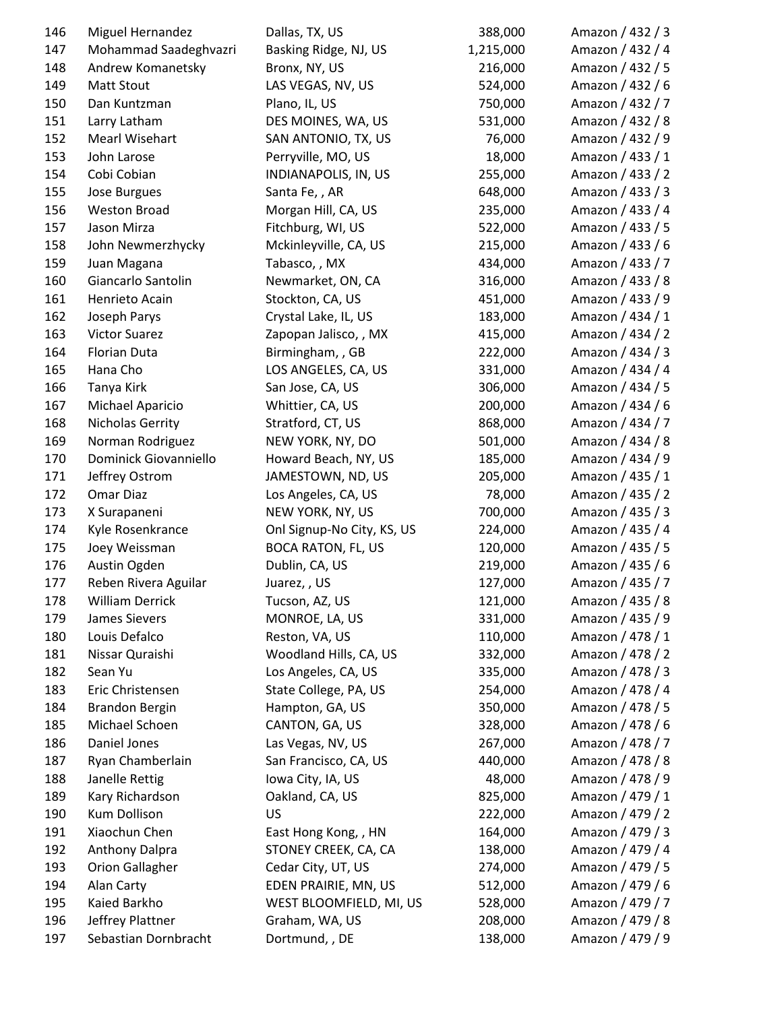| 146        | Miguel Hernandez                        | Dallas, TX, US                    | 388,000   | Amazon / 432 / 3                     |
|------------|-----------------------------------------|-----------------------------------|-----------|--------------------------------------|
| 147        | Mohammad Saadeghvazri                   | Basking Ridge, NJ, US             | 1,215,000 | Amazon / 432 / 4                     |
| 148        | Andrew Komanetsky                       | Bronx, NY, US                     | 216,000   | Amazon / 432 / 5                     |
| 149        | <b>Matt Stout</b>                       | LAS VEGAS, NV, US                 | 524,000   | Amazon / 432 / 6                     |
| 150        | Dan Kuntzman                            | Plano, IL, US                     | 750,000   | Amazon / 432 / 7                     |
| 151        | Larry Latham                            | DES MOINES, WA, US                | 531,000   | Amazon / 432 / 8                     |
| 152        | <b>Mearl Wisehart</b>                   | SAN ANTONIO, TX, US               | 76,000    | Amazon / 432 / 9                     |
| 153        | John Larose                             | Perryville, MO, US                | 18,000    | Amazon / 433 / 1                     |
| 154        | Cobi Cobian                             | INDIANAPOLIS, IN, US              | 255,000   | Amazon / 433 / 2                     |
| 155        | Jose Burgues                            | Santa Fe, , AR                    | 648,000   | Amazon / 433 / 3                     |
| 156        | <b>Weston Broad</b>                     | Morgan Hill, CA, US               | 235,000   | Amazon / 433 / 4                     |
| 157        | Jason Mirza                             | Fitchburg, WI, US                 | 522,000   | Amazon / 433 / 5                     |
| 158        | John Newmerzhycky                       | Mckinleyville, CA, US             | 215,000   | Amazon / 433 / 6                     |
| 159        | Juan Magana                             | Tabasco, , MX                     | 434,000   | Amazon / 433 / 7                     |
| 160        | Giancarlo Santolin                      | Newmarket, ON, CA                 | 316,000   | Amazon / 433 / 8                     |
| 161        | Henrieto Acain                          | Stockton, CA, US                  | 451,000   | Amazon / 433 / 9                     |
| 162        | Joseph Parys                            | Crystal Lake, IL, US              | 183,000   | Amazon / 434 / 1                     |
| 163        | <b>Victor Suarez</b>                    | Zapopan Jalisco, , MX             | 415,000   | Amazon / 434 / 2                     |
| 164        | Florian Duta                            | Birmingham, , GB                  | 222,000   | Amazon / 434 / 3                     |
| 165        | Hana Cho                                | LOS ANGELES, CA, US               | 331,000   | Amazon / 434 / 4                     |
| 166        | Tanya Kirk                              | San Jose, CA, US                  | 306,000   | Amazon / 434 / 5                     |
| 167        | Michael Aparicio                        | Whittier, CA, US                  | 200,000   | Amazon / 434 / 6                     |
| 168        | Nicholas Gerrity                        | Stratford, CT, US                 | 868,000   | Amazon / 434 / 7                     |
| 169        | Norman Rodriguez                        | NEW YORK, NY, DO                  | 501,000   | Amazon / 434 / 8                     |
| 170        | Dominick Giovanniello                   | Howard Beach, NY, US              | 185,000   | Amazon / 434 / 9                     |
| 171        | Jeffrey Ostrom                          | JAMESTOWN, ND, US                 | 205,000   | Amazon / 435 / 1                     |
| 172        | Omar Diaz                               | Los Angeles, CA, US               | 78,000    | Amazon / 435 / 2                     |
| 173        | X Surapaneni                            | NEW YORK, NY, US                  | 700,000   | Amazon / 435 / 3                     |
| 174        | Kyle Rosenkrance                        | Onl Signup-No City, KS, US        | 224,000   | Amazon / 435 / 4                     |
| 175        | Joey Weissman                           | <b>BOCA RATON, FL, US</b>         | 120,000   | Amazon / 435 / 5                     |
| 176        | Austin Ogden                            | Dublin, CA, US                    | 219,000   | Amazon / 435 / 6                     |
| 177        | Reben Rivera Aguilar                    | Juarez,, US                       | 127,000   | Amazon / 435 / 7                     |
| 178        | William Derrick                         | Tucson, AZ, US                    | 121,000   | Amazon / 435 / 8                     |
| 179        | James Sievers                           | MONROE, LA, US                    | 331,000   | Amazon / 435 / 9                     |
| 180        | Louis Defalco                           | Reston, VA, US                    | 110,000   | Amazon / 478 / 1                     |
| 181        | Nissar Quraishi                         | Woodland Hills, CA, US            | 332,000   | Amazon / 478 / 2                     |
| 182        | Sean Yu                                 | Los Angeles, CA, US               | 335,000   | Amazon / 478 / 3                     |
| 183        | Eric Christensen                        | State College, PA, US             | 254,000   | Amazon / 478 / 4                     |
|            |                                         |                                   | 350,000   |                                      |
| 184<br>185 | <b>Brandon Bergin</b><br>Michael Schoen | Hampton, GA, US<br>CANTON, GA, US | 328,000   | Amazon / 478 / 5<br>Amazon / 478 / 6 |
|            |                                         |                                   |           |                                      |
| 186        | Daniel Jones                            | Las Vegas, NV, US                 | 267,000   | Amazon / 478 / 7                     |
| 187        | Ryan Chamberlain                        | San Francisco, CA, US             | 440,000   | Amazon / 478 / 8                     |
| 188        | Janelle Rettig                          | Iowa City, IA, US                 | 48,000    | Amazon / 478 / 9                     |
| 189        | Kary Richardson                         | Oakland, CA, US                   | 825,000   | Amazon / 479 / 1                     |
| 190        | <b>Kum Dollison</b>                     | <b>US</b>                         | 222,000   | Amazon / 479 / 2                     |
| 191        | Xiaochun Chen                           | East Hong Kong, , HN              | 164,000   | Amazon / 479 / 3                     |
| 192        | Anthony Dalpra                          | STONEY CREEK, CA, CA              | 138,000   | Amazon / 479 / 4                     |
| 193        | <b>Orion Gallagher</b>                  | Cedar City, UT, US                | 274,000   | Amazon / 479 / 5                     |
| 194        | Alan Carty                              | EDEN PRAIRIE, MN, US              | 512,000   | Amazon / 479 / 6                     |
| 195        | Kaied Barkho                            | WEST BLOOMFIELD, MI, US           | 528,000   | Amazon / 479 / 7                     |
| 196        | Jeffrey Plattner                        | Graham, WA, US                    | 208,000   | Amazon / 479 / 8                     |
| 197        | Sebastian Dornbracht                    | Dortmund, , DE                    | 138,000   | Amazon / 479 / 9                     |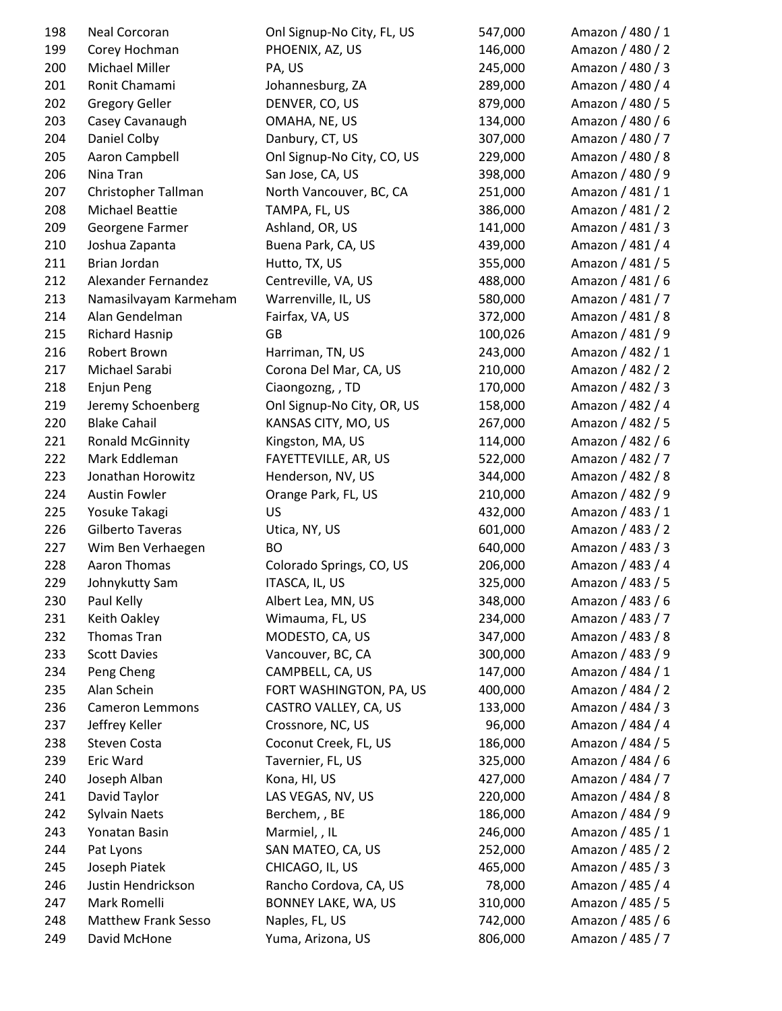| 198 | Neal Corcoran              | Onl Signup-No City, FL, US | 547,000 | Amazon / 480 / 1 |
|-----|----------------------------|----------------------------|---------|------------------|
| 199 | Corey Hochman              | PHOENIX, AZ, US            | 146,000 | Amazon / 480 / 2 |
| 200 | Michael Miller             | PA, US                     | 245,000 | Amazon / 480 / 3 |
| 201 | Ronit Chamami              | Johannesburg, ZA           | 289,000 | Amazon / 480 / 4 |
| 202 | <b>Gregory Geller</b>      | DENVER, CO, US             | 879,000 | Amazon / 480 / 5 |
| 203 | Casey Cavanaugh            | OMAHA, NE, US              | 134,000 | Amazon / 480 / 6 |
| 204 | Daniel Colby               | Danbury, CT, US            | 307,000 | Amazon / 480 / 7 |
| 205 | Aaron Campbell             | Onl Signup-No City, CO, US | 229,000 | Amazon / 480 / 8 |
| 206 | Nina Tran                  | San Jose, CA, US           | 398,000 | Amazon / 480 / 9 |
| 207 | Christopher Tallman        | North Vancouver, BC, CA    | 251,000 | Amazon / 481 / 1 |
| 208 | Michael Beattie            | TAMPA, FL, US              | 386,000 | Amazon / 481 / 2 |
| 209 | Georgene Farmer            | Ashland, OR, US            | 141,000 | Amazon / 481 / 3 |
| 210 | Joshua Zapanta             | Buena Park, CA, US         | 439,000 | Amazon / 481 / 4 |
| 211 | Brian Jordan               | Hutto, TX, US              | 355,000 | Amazon / 481 / 5 |
| 212 | Alexander Fernandez        | Centreville, VA, US        | 488,000 | Amazon / 481 / 6 |
| 213 | Namasilvayam Karmeham      | Warrenville, IL, US        | 580,000 | Amazon / 481 / 7 |
| 214 | Alan Gendelman             | Fairfax, VA, US            | 372,000 | Amazon / 481 / 8 |
| 215 | <b>Richard Hasnip</b>      | GB                         | 100,026 | Amazon / 481 / 9 |
| 216 | Robert Brown               | Harriman, TN, US           | 243,000 | Amazon / 482 / 1 |
| 217 | Michael Sarabi             | Corona Del Mar, CA, US     | 210,000 | Amazon / 482 / 2 |
| 218 | Enjun Peng                 | Ciaongozng, , TD           | 170,000 | Amazon / 482 / 3 |
| 219 | Jeremy Schoenberg          | Onl Signup-No City, OR, US | 158,000 | Amazon / 482 / 4 |
| 220 | <b>Blake Cahail</b>        | KANSAS CITY, MO, US        | 267,000 | Amazon / 482 / 5 |
| 221 | <b>Ronald McGinnity</b>    | Kingston, MA, US           | 114,000 | Amazon / 482 / 6 |
| 222 | Mark Eddleman              | FAYETTEVILLE, AR, US       | 522,000 | Amazon / 482 / 7 |
| 223 | Jonathan Horowitz          | Henderson, NV, US          | 344,000 | Amazon / 482 / 8 |
| 224 | <b>Austin Fowler</b>       | Orange Park, FL, US        | 210,000 | Amazon / 482 / 9 |
| 225 | Yosuke Takagi              | US                         | 432,000 | Amazon / 483 / 1 |
| 226 | Gilberto Taveras           | Utica, NY, US              | 601,000 | Amazon / 483 / 2 |
| 227 | Wim Ben Verhaegen          | <b>BO</b>                  | 640,000 | Amazon / 483 / 3 |
| 228 | Aaron Thomas               | Colorado Springs, CO, US   | 206,000 | Amazon / 483 / 4 |
| 229 | Johnykutty Sam             | ITASCA, IL, US             | 325,000 | Amazon / 483 / 5 |
| 230 | Paul Kelly                 | Albert Lea, MN, US         | 348,000 | Amazon / 483 / 6 |
| 231 | Keith Oakley               | Wimauma, FL, US            | 234,000 | Amazon / 483 / 7 |
| 232 | Thomas Tran                | MODESTO, CA, US            | 347,000 | Amazon / 483 / 8 |
| 233 | <b>Scott Davies</b>        | Vancouver, BC, CA          | 300,000 | Amazon / 483 / 9 |
| 234 | Peng Cheng                 | CAMPBELL, CA, US           | 147,000 | Amazon / 484 / 1 |
| 235 | Alan Schein                | FORT WASHINGTON, PA, US    | 400,000 | Amazon / 484 / 2 |
| 236 | <b>Cameron Lemmons</b>     | CASTRO VALLEY, CA, US      | 133,000 | Amazon / 484 / 3 |
| 237 | Jeffrey Keller             | Crossnore, NC, US          | 96,000  | Amazon / 484 / 4 |
| 238 | Steven Costa               | Coconut Creek, FL, US      | 186,000 | Amazon / 484 / 5 |
| 239 | Eric Ward                  | Tavernier, FL, US          | 325,000 | Amazon / 484 / 6 |
| 240 | Joseph Alban               | Kona, HI, US               | 427,000 | Amazon / 484 / 7 |
| 241 | David Taylor               | LAS VEGAS, NV, US          | 220,000 | Amazon / 484 / 8 |
| 242 | Sylvain Naets              | Berchem, , BE              | 186,000 | Amazon / 484 / 9 |
| 243 | Yonatan Basin              | Marmiel, , IL              | 246,000 | Amazon / 485 / 1 |
| 244 | Pat Lyons                  | SAN MATEO, CA, US          | 252,000 | Amazon / 485 / 2 |
| 245 | Joseph Piatek              | CHICAGO, IL, US            | 465,000 | Amazon / 485 / 3 |
| 246 | Justin Hendrickson         | Rancho Cordova, CA, US     | 78,000  | Amazon / 485 / 4 |
| 247 | Mark Romelli               | BONNEY LAKE, WA, US        | 310,000 | Amazon / 485 / 5 |
| 248 | <b>Matthew Frank Sesso</b> | Naples, FL, US             | 742,000 | Amazon / 485 / 6 |
| 249 | David McHone               | Yuma, Arizona, US          | 806,000 | Amazon / 485 / 7 |
|     |                            |                            |         |                  |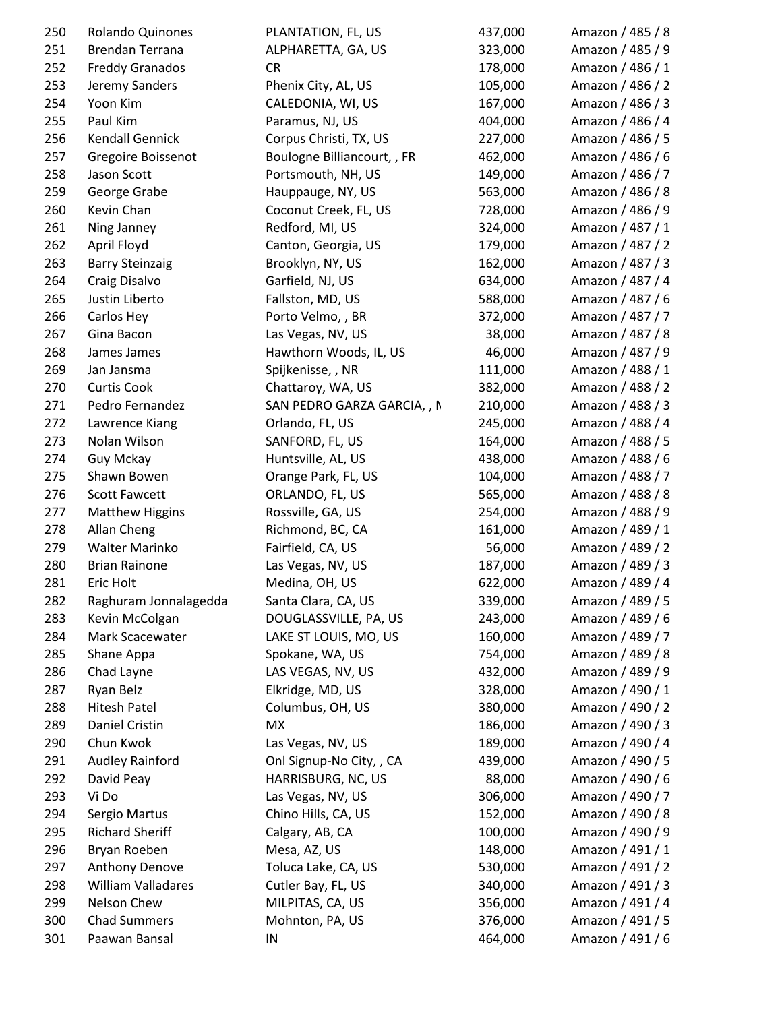| 250 | Rolando Quinones       | PLANTATION, FL, US          | 437,000 | Amazon / 485 / 8 |
|-----|------------------------|-----------------------------|---------|------------------|
| 251 | Brendan Terrana        | ALPHARETTA, GA, US          | 323,000 | Amazon / 485 / 9 |
| 252 | <b>Freddy Granados</b> | <b>CR</b>                   | 178,000 | Amazon / 486 / 1 |
| 253 | Jeremy Sanders         | Phenix City, AL, US         | 105,000 | Amazon / 486 / 2 |
| 254 | Yoon Kim               | CALEDONIA, WI, US           | 167,000 | Amazon / 486 / 3 |
| 255 | Paul Kim               | Paramus, NJ, US             | 404,000 | Amazon / 486 / 4 |
| 256 | Kendall Gennick        | Corpus Christi, TX, US      | 227,000 | Amazon / 486 / 5 |
| 257 | Gregoire Boissenot     | Boulogne Billiancourt, , FR | 462,000 | Amazon / 486 / 6 |
| 258 | Jason Scott            | Portsmouth, NH, US          | 149,000 | Amazon / 486 / 7 |
| 259 | George Grabe           | Hauppauge, NY, US           | 563,000 | Amazon / 486 / 8 |
| 260 | Kevin Chan             | Coconut Creek, FL, US       | 728,000 | Amazon / 486 / 9 |
| 261 | Ning Janney            | Redford, MI, US             | 324,000 | Amazon / 487 / 1 |
| 262 | April Floyd            | Canton, Georgia, US         | 179,000 | Amazon / 487 / 2 |
| 263 | <b>Barry Steinzaig</b> | Brooklyn, NY, US            | 162,000 | Amazon / 487 / 3 |
| 264 | Craig Disalvo          | Garfield, NJ, US            | 634,000 | Amazon / 487 / 4 |
| 265 | Justin Liberto         | Fallston, MD, US            | 588,000 | Amazon / 487 / 6 |
| 266 | Carlos Hey             | Porto Velmo, , BR           | 372,000 | Amazon / 487 / 7 |
| 267 | Gina Bacon             | Las Vegas, NV, US           | 38,000  | Amazon / 487 / 8 |
| 268 | James James            | Hawthorn Woods, IL, US      | 46,000  | Amazon / 487 / 9 |
| 269 | Jan Jansma             | Spijkenisse, , NR           | 111,000 | Amazon / 488 / 1 |
| 270 | <b>Curtis Cook</b>     | Chattaroy, WA, US           | 382,000 | Amazon / 488 / 2 |
| 271 | Pedro Fernandez        | SAN PEDRO GARZA GARCIA, , N | 210,000 | Amazon / 488 / 3 |
| 272 | Lawrence Kiang         | Orlando, FL, US             | 245,000 | Amazon / 488 / 4 |
| 273 | Nolan Wilson           | SANFORD, FL, US             | 164,000 | Amazon / 488 / 5 |
| 274 | Guy Mckay              | Huntsville, AL, US          | 438,000 | Amazon / 488 / 6 |
| 275 | Shawn Bowen            | Orange Park, FL, US         | 104,000 | Amazon / 488 / 7 |
| 276 | <b>Scott Fawcett</b>   | ORLANDO, FL, US             | 565,000 | Amazon / 488 / 8 |
| 277 | <b>Matthew Higgins</b> | Rossville, GA, US           | 254,000 | Amazon / 488 / 9 |
| 278 | Allan Cheng            | Richmond, BC, CA            | 161,000 | Amazon / 489 / 1 |
| 279 | Walter Marinko         | Fairfield, CA, US           | 56,000  | Amazon / 489 / 2 |
| 280 | <b>Brian Rainone</b>   | Las Vegas, NV, US           | 187,000 | Amazon / 489 / 3 |
| 281 | Eric Holt              | Medina, OH, US              | 622,000 | Amazon / 489 / 4 |
| 282 | Raghuram Jonnalagedda  | Santa Clara, CA, US         | 339,000 | Amazon / 489 / 5 |
| 283 | Kevin McColgan         | DOUGLASSVILLE, PA, US       | 243,000 | Amazon / 489 / 6 |
| 284 | Mark Scacewater        | LAKE ST LOUIS, MO, US       | 160,000 | Amazon / 489 / 7 |
| 285 | Shane Appa             | Spokane, WA, US             | 754,000 | Amazon / 489 / 8 |
| 286 | Chad Layne             | LAS VEGAS, NV, US           | 432,000 | Amazon / 489 / 9 |
| 287 | Ryan Belz              | Elkridge, MD, US            | 328,000 | Amazon / 490 / 1 |
| 288 | <b>Hitesh Patel</b>    | Columbus, OH, US            | 380,000 | Amazon / 490 / 2 |
| 289 | Daniel Cristin         | MX                          | 186,000 | Amazon / 490 / 3 |
| 290 | Chun Kwok              | Las Vegas, NV, US           | 189,000 | Amazon / 490 / 4 |
| 291 | <b>Audley Rainford</b> | Onl Signup-No City, , CA    | 439,000 | Amazon / 490 / 5 |
| 292 | David Peay             | HARRISBURG, NC, US          | 88,000  | Amazon / 490 / 6 |
| 293 | Vi Do                  | Las Vegas, NV, US           | 306,000 | Amazon / 490 / 7 |
|     |                        |                             |         |                  |
| 294 | Sergio Martus          | Chino Hills, CA, US         | 152,000 | Amazon / 490 / 8 |
| 295 | <b>Richard Sheriff</b> | Calgary, AB, CA             | 100,000 | Amazon / 490 / 9 |
| 296 | Bryan Roeben           | Mesa, AZ, US                | 148,000 | Amazon / 491 / 1 |
| 297 | Anthony Denove         | Toluca Lake, CA, US         | 530,000 | Amazon / 491 / 2 |
| 298 | William Valladares     | Cutler Bay, FL, US          | 340,000 | Amazon / 491 / 3 |
| 299 | Nelson Chew            | MILPITAS, CA, US            | 356,000 | Amazon / 491 / 4 |
| 300 | <b>Chad Summers</b>    | Mohnton, PA, US             | 376,000 | Amazon / 491 / 5 |
| 301 | Paawan Bansal          | IN                          | 464,000 | Amazon / 491 / 6 |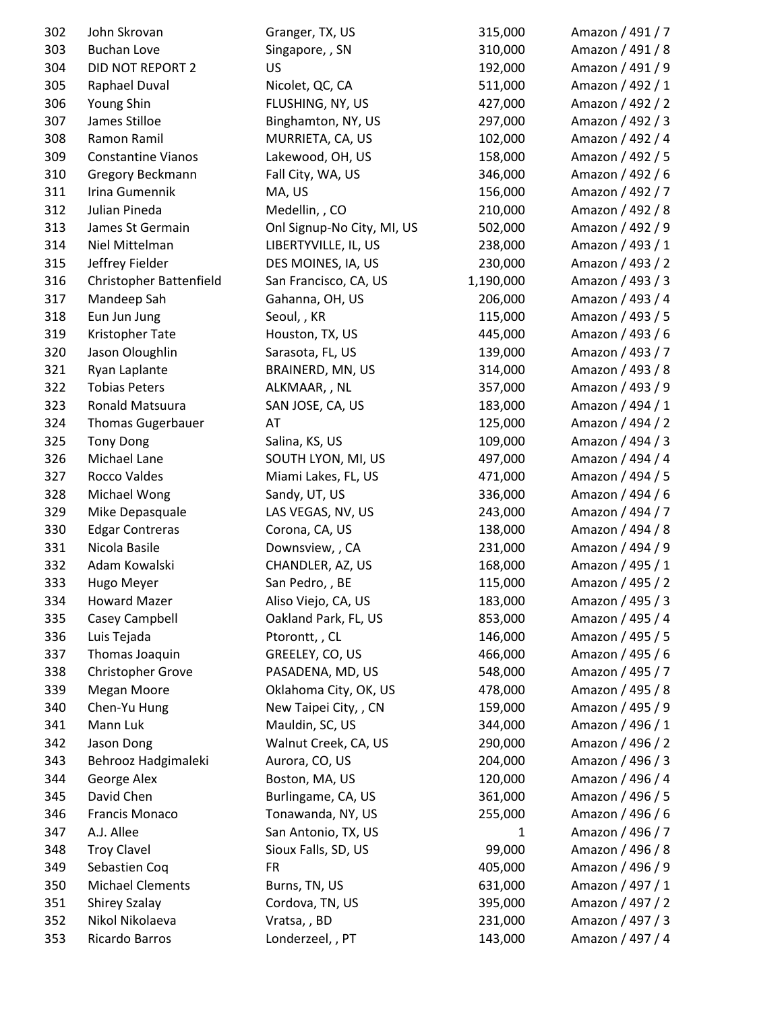| 302 | John Skrovan              | Granger, TX, US            | 315,000   | Amazon / 491 / 7 |
|-----|---------------------------|----------------------------|-----------|------------------|
| 303 | <b>Buchan Love</b>        | Singapore, , SN            | 310,000   | Amazon / 491 / 8 |
| 304 | DID NOT REPORT 2          | US                         | 192,000   | Amazon / 491 / 9 |
| 305 | Raphael Duval             | Nicolet, QC, CA            | 511,000   | Amazon / 492 / 1 |
| 306 | Young Shin                | FLUSHING, NY, US           | 427,000   | Amazon / 492 / 2 |
| 307 | James Stilloe             | Binghamton, NY, US         | 297,000   | Amazon / 492 / 3 |
| 308 | Ramon Ramil               | MURRIETA, CA, US           | 102,000   | Amazon / 492 / 4 |
| 309 | <b>Constantine Vianos</b> | Lakewood, OH, US           | 158,000   | Amazon / 492 / 5 |
| 310 | Gregory Beckmann          | Fall City, WA, US          | 346,000   | Amazon / 492 / 6 |
| 311 | Irina Gumennik            | MA, US                     | 156,000   | Amazon / 492 / 7 |
| 312 | Julian Pineda             | Medellin, , CO             | 210,000   | Amazon / 492 / 8 |
| 313 | James St Germain          | Onl Signup-No City, MI, US | 502,000   | Amazon / 492 / 9 |
| 314 | Niel Mittelman            | LIBERTYVILLE, IL, US       | 238,000   | Amazon / 493 / 1 |
| 315 | Jeffrey Fielder           | DES MOINES, IA, US         | 230,000   | Amazon / 493 / 2 |
| 316 | Christopher Battenfield   | San Francisco, CA, US      | 1,190,000 | Amazon / 493 / 3 |
| 317 | Mandeep Sah               | Gahanna, OH, US            | 206,000   | Amazon / 493 / 4 |
| 318 | Eun Jun Jung              | Seoul, , KR                | 115,000   | Amazon / 493 / 5 |
| 319 | Kristopher Tate           | Houston, TX, US            | 445,000   | Amazon / 493 / 6 |
| 320 | Jason Oloughlin           | Sarasota, FL, US           | 139,000   | Amazon / 493 / 7 |
| 321 | Ryan Laplante             | BRAINERD, MN, US           | 314,000   | Amazon / 493 / 8 |
| 322 | <b>Tobias Peters</b>      | ALKMAAR, , NL              | 357,000   | Amazon / 493 / 9 |
| 323 | Ronald Matsuura           | SAN JOSE, CA, US           | 183,000   | Amazon / 494 / 1 |
| 324 | <b>Thomas Gugerbauer</b>  | AT                         | 125,000   | Amazon / 494 / 2 |
| 325 | <b>Tony Dong</b>          | Salina, KS, US             | 109,000   | Amazon / 494 / 3 |
| 326 | Michael Lane              | SOUTH LYON, MI, US         | 497,000   | Amazon / 494 / 4 |
| 327 | Rocco Valdes              | Miami Lakes, FL, US        | 471,000   | Amazon / 494 / 5 |
| 328 | Michael Wong              | Sandy, UT, US              | 336,000   | Amazon / 494 / 6 |
| 329 | Mike Depasquale           | LAS VEGAS, NV, US          | 243,000   | Amazon / 494 / 7 |
| 330 | <b>Edgar Contreras</b>    | Corona, CA, US             | 138,000   | Amazon / 494 / 8 |
| 331 | Nicola Basile             | Downsview, , CA            | 231,000   | Amazon / 494 / 9 |
| 332 | Adam Kowalski             | CHANDLER, AZ, US           | 168,000   | Amazon / 495 / 1 |
| 333 | Hugo Meyer                | San Pedro,, BE             | 115,000   | Amazon / 495 / 2 |
| 334 | <b>Howard Mazer</b>       | Aliso Viejo, CA, US        | 183,000   | Amazon / 495 / 3 |
| 335 | Casey Campbell            | Oakland Park, FL, US       | 853,000   | Amazon / 495 / 4 |
| 336 | Luis Tejada               | Ptorontt, , CL             | 146,000   | Amazon / 495 / 5 |
| 337 | Thomas Joaquin            | GREELEY, CO, US            | 466,000   | Amazon / 495 / 6 |
| 338 | Christopher Grove         | PASADENA, MD, US           | 548,000   | Amazon / 495 / 7 |
| 339 | Megan Moore               | Oklahoma City, OK, US      | 478,000   | Amazon / 495 / 8 |
| 340 | Chen-Yu Hung              | New Taipei City, , CN      | 159,000   | Amazon / 495 / 9 |
| 341 | Mann Luk                  | Mauldin, SC, US            | 344,000   | Amazon / 496 / 1 |
| 342 | Jason Dong                | Walnut Creek, CA, US       | 290,000   | Amazon / 496 / 2 |
| 343 | Behrooz Hadgimaleki       | Aurora, CO, US             | 204,000   | Amazon / 496 / 3 |
| 344 | George Alex               | Boston, MA, US             | 120,000   | Amazon / 496 / 4 |
| 345 | David Chen                | Burlingame, CA, US         | 361,000   | Amazon / 496 / 5 |
| 346 | Francis Monaco            | Tonawanda, NY, US          | 255,000   | Amazon / 496 / 6 |
| 347 | A.J. Allee                | San Antonio, TX, US        | 1         | Amazon / 496 / 7 |
| 348 | <b>Troy Clavel</b>        | Sioux Falls, SD, US        | 99,000    | Amazon / 496 / 8 |
| 349 | Sebastien Coq             | <b>FR</b>                  | 405,000   | Amazon / 496 / 9 |
| 350 | <b>Michael Clements</b>   | Burns, TN, US              | 631,000   | Amazon / 497 / 1 |
| 351 | <b>Shirey Szalay</b>      | Cordova, TN, US            | 395,000   | Amazon / 497 / 2 |
| 352 | Nikol Nikolaeva           | Vratsa,, BD                | 231,000   | Amazon / 497 / 3 |
| 353 | Ricardo Barros            | Londerzeel, , PT           | 143,000   | Amazon / 497 / 4 |
|     |                           |                            |           |                  |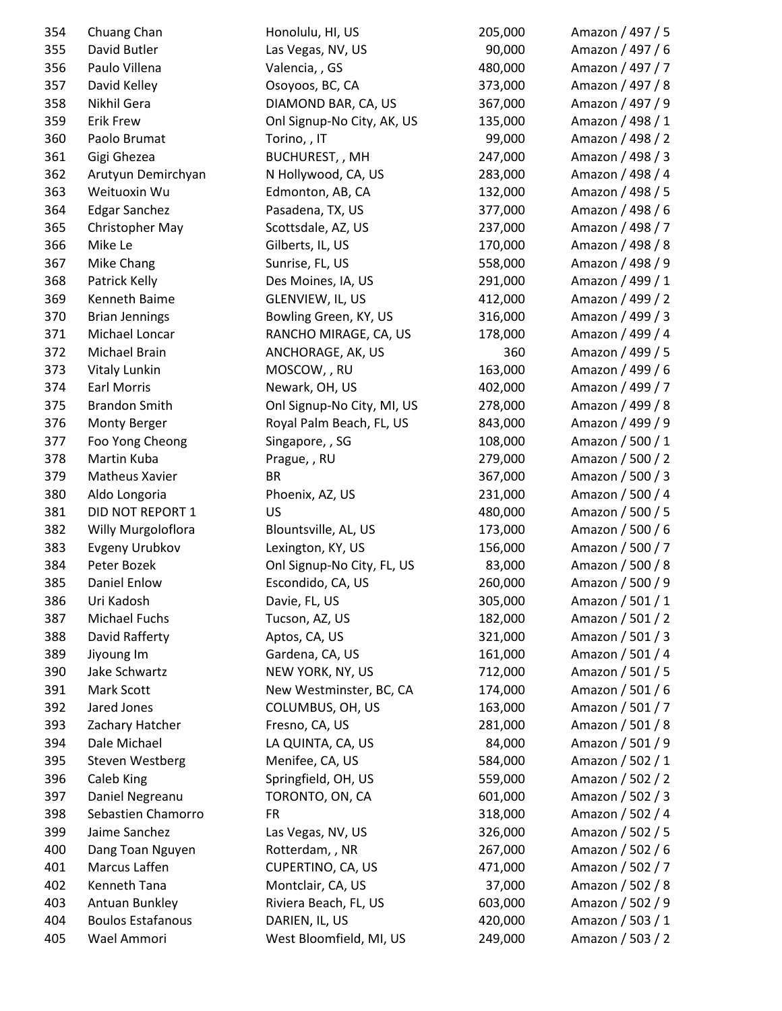| 354 | Chuang Chan              | Honolulu, HI, US           | 205,000 | Amazon / 497 / 5 |
|-----|--------------------------|----------------------------|---------|------------------|
| 355 | David Butler             | Las Vegas, NV, US          | 90,000  | Amazon / 497 / 6 |
| 356 | Paulo Villena            | Valencia, , GS             | 480,000 | Amazon / 497 / 7 |
| 357 | David Kelley             | Osoyoos, BC, CA            | 373,000 | Amazon / 497 / 8 |
| 358 | Nikhil Gera              | DIAMOND BAR, CA, US        | 367,000 | Amazon / 497 / 9 |
| 359 | <b>Erik Frew</b>         | Onl Signup-No City, AK, US | 135,000 | Amazon / 498 / 1 |
| 360 | Paolo Brumat             | Torino, , IT               | 99,000  | Amazon / 498 / 2 |
| 361 | Gigi Ghezea              | BUCHUREST, , MH            | 247,000 | Amazon / 498 / 3 |
| 362 | Arutyun Demirchyan       | N Hollywood, CA, US        | 283,000 | Amazon / 498 / 4 |
| 363 | Weituoxin Wu             | Edmonton, AB, CA           | 132,000 | Amazon / 498 / 5 |
| 364 | <b>Edgar Sanchez</b>     | Pasadena, TX, US           | 377,000 | Amazon / 498 / 6 |
| 365 | Christopher May          | Scottsdale, AZ, US         | 237,000 | Amazon / 498 / 7 |
| 366 | Mike Le                  | Gilberts, IL, US           | 170,000 | Amazon / 498 / 8 |
| 367 | Mike Chang               | Sunrise, FL, US            | 558,000 | Amazon / 498 / 9 |
| 368 | Patrick Kelly            | Des Moines, IA, US         | 291,000 | Amazon / 499 / 1 |
| 369 | Kenneth Baime            | GLENVIEW, IL, US           | 412,000 | Amazon / 499 / 2 |
| 370 | <b>Brian Jennings</b>    | Bowling Green, KY, US      | 316,000 | Amazon / 499 / 3 |
| 371 | Michael Loncar           | RANCHO MIRAGE, CA, US      | 178,000 | Amazon / 499 / 4 |
| 372 | Michael Brain            | ANCHORAGE, AK, US          | 360     | Amazon / 499 / 5 |
| 373 | Vitaly Lunkin            | MOSCOW, , RU               | 163,000 | Amazon / 499 / 6 |
| 374 | <b>Earl Morris</b>       | Newark, OH, US             | 402,000 | Amazon / 499 / 7 |
| 375 | <b>Brandon Smith</b>     | Onl Signup-No City, MI, US | 278,000 | Amazon / 499 / 8 |
| 376 | Monty Berger             | Royal Palm Beach, FL, US   | 843,000 | Amazon / 499 / 9 |
| 377 | Foo Yong Cheong          | Singapore, , SG            | 108,000 | Amazon / 500 / 1 |
| 378 | Martin Kuba              | Prague, , RU               | 279,000 | Amazon / 500 / 2 |
| 379 | <b>Matheus Xavier</b>    | <b>BR</b>                  | 367,000 | Amazon / 500 / 3 |
| 380 | Aldo Longoria            | Phoenix, AZ, US            | 231,000 | Amazon / 500 / 4 |
| 381 | <b>DID NOT REPORT 1</b>  | US                         | 480,000 | Amazon / 500 / 5 |
| 382 | Willy Murgoloflora       | Blountsville, AL, US       | 173,000 | Amazon / 500 / 6 |
| 383 | Evgeny Urubkov           | Lexington, KY, US          | 156,000 | Amazon / 500 / 7 |
| 384 | Peter Bozek              | Onl Signup-No City, FL, US | 83,000  | Amazon / 500 / 8 |
| 385 | <b>Daniel Enlow</b>      | Escondido, CA, US          | 260,000 | Amazon / 500 / 9 |
| 386 | Uri Kadosh               | Davie, FL, US              | 305,000 | Amazon / 501 / 1 |
| 387 | Michael Fuchs            | Tucson, AZ, US             | 182,000 | Amazon / 501 / 2 |
| 388 | David Rafferty           | Aptos, CA, US              | 321,000 | Amazon / 501 / 3 |
| 389 | Jiyoung Im               | Gardena, CA, US            | 161,000 | Amazon / 501 / 4 |
| 390 | Jake Schwartz            | NEW YORK, NY, US           | 712,000 | Amazon / 501 / 5 |
| 391 | Mark Scott               | New Westminster, BC, CA    | 174,000 | Amazon / 501 / 6 |
| 392 | Jared Jones              | COLUMBUS, OH, US           | 163,000 | Amazon / 501 / 7 |
| 393 | Zachary Hatcher          | Fresno, CA, US             | 281,000 | Amazon / 501 / 8 |
| 394 | Dale Michael             | LA QUINTA, CA, US          | 84,000  | Amazon / 501 / 9 |
| 395 | <b>Steven Westberg</b>   | Menifee, CA, US            | 584,000 | Amazon / 502 / 1 |
| 396 | Caleb King               | Springfield, OH, US        | 559,000 | Amazon / 502 / 2 |
| 397 | Daniel Negreanu          | TORONTO, ON, CA            | 601,000 | Amazon / 502 / 3 |
| 398 | Sebastien Chamorro       | <b>FR</b>                  | 318,000 | Amazon / 502 / 4 |
| 399 | Jaime Sanchez            | Las Vegas, NV, US          | 326,000 | Amazon / 502 / 5 |
| 400 | Dang Toan Nguyen         | Rotterdam, , NR            | 267,000 | Amazon / 502 / 6 |
| 401 | Marcus Laffen            | CUPERTINO, CA, US          | 471,000 | Amazon / 502 / 7 |
| 402 | Kenneth Tana             | Montclair, CA, US          | 37,000  | Amazon / 502 / 8 |
| 403 | Antuan Bunkley           | Riviera Beach, FL, US      | 603,000 | Amazon / 502 / 9 |
| 404 | <b>Boulos Estafanous</b> | DARIEN, IL, US             | 420,000 | Amazon / 503 / 1 |
| 405 | Wael Ammori              | West Bloomfield, MI, US    | 249,000 | Amazon / 503 / 2 |
|     |                          |                            |         |                  |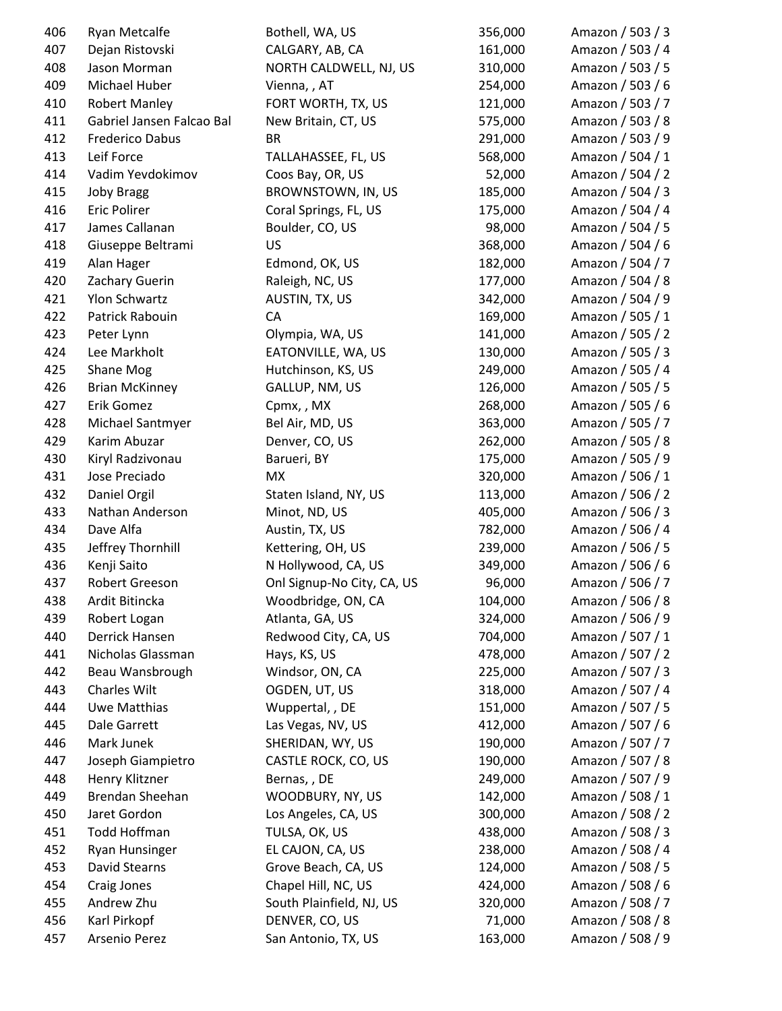| 406 | Ryan Metcalfe             | Bothell, WA, US            | 356,000 | Amazon / 503 / 3 |
|-----|---------------------------|----------------------------|---------|------------------|
| 407 | Dejan Ristovski           | CALGARY, AB, CA            | 161,000 | Amazon / 503 / 4 |
| 408 | Jason Morman              | NORTH CALDWELL, NJ, US     | 310,000 | Amazon / 503 / 5 |
| 409 | Michael Huber             | Vienna, , AT               | 254,000 | Amazon / 503 / 6 |
| 410 | <b>Robert Manley</b>      | FORT WORTH, TX, US         | 121,000 | Amazon / 503 / 7 |
| 411 | Gabriel Jansen Falcao Bal | New Britain, CT, US        | 575,000 | Amazon / 503 / 8 |
| 412 | Frederico Dabus           | <b>BR</b>                  | 291,000 | Amazon / 503 / 9 |
| 413 | Leif Force                | TALLAHASSEE, FL, US        | 568,000 | Amazon / 504 / 1 |
| 414 | Vadim Yevdokimov          | Coos Bay, OR, US           | 52,000  | Amazon / 504 / 2 |
| 415 | <b>Joby Bragg</b>         | BROWNSTOWN, IN, US         | 185,000 | Amazon / 504 / 3 |
| 416 | <b>Eric Polirer</b>       | Coral Springs, FL, US      | 175,000 | Amazon / 504 / 4 |
| 417 | James Callanan            | Boulder, CO, US            | 98,000  | Amazon / 504 / 5 |
| 418 | Giuseppe Beltrami         | US                         | 368,000 | Amazon / 504 / 6 |
| 419 | Alan Hager                | Edmond, OK, US             | 182,000 | Amazon / 504 / 7 |
| 420 | Zachary Guerin            | Raleigh, NC, US            | 177,000 | Amazon / 504 / 8 |
| 421 | Ylon Schwartz             | AUSTIN, TX, US             | 342,000 | Amazon / 504 / 9 |
| 422 | Patrick Rabouin           | CA                         | 169,000 | Amazon / 505 / 1 |
| 423 | Peter Lynn                | Olympia, WA, US            | 141,000 | Amazon / 505 / 2 |
| 424 | Lee Markholt              | EATONVILLE, WA, US         | 130,000 | Amazon / 505 / 3 |
| 425 | Shane Mog                 | Hutchinson, KS, US         | 249,000 | Amazon / 505 / 4 |
| 426 | <b>Brian McKinney</b>     | GALLUP, NM, US             | 126,000 | Amazon / 505 / 5 |
| 427 | Erik Gomez                | Cpmx,, MX                  | 268,000 | Amazon / 505 / 6 |
| 428 | Michael Santmyer          | Bel Air, MD, US            | 363,000 | Amazon / 505 / 7 |
| 429 | Karim Abuzar              | Denver, CO, US             | 262,000 | Amazon / 505 / 8 |
| 430 | Kiryl Radzivonau          | Barueri, BY                | 175,000 | Amazon / 505 / 9 |
| 431 | Jose Preciado             | МX                         | 320,000 | Amazon / 506 / 1 |
| 432 | Daniel Orgil              | Staten Island, NY, US      | 113,000 | Amazon / 506 / 2 |
| 433 | Nathan Anderson           | Minot, ND, US              | 405,000 | Amazon / 506 / 3 |
| 434 | Dave Alfa                 | Austin, TX, US             | 782,000 | Amazon / 506 / 4 |
| 435 | Jeffrey Thornhill         | Kettering, OH, US          | 239,000 | Amazon / 506 / 5 |
| 436 | Kenji Saito               | N Hollywood, CA, US        | 349,000 | Amazon / 506 / 6 |
| 437 | Robert Greeson            | Onl Signup-No City, CA, US | 96,000  | Amazon / 506 / 7 |
| 438 | Ardit Bitincka            | Woodbridge, ON, CA         | 104,000 | Amazon / 506 / 8 |
| 439 | Robert Logan              | Atlanta, GA, US            | 324,000 | Amazon / 506 / 9 |
| 440 | Derrick Hansen            | Redwood City, CA, US       | 704,000 | Amazon / 507 / 1 |
| 441 | Nicholas Glassman         | Hays, KS, US               | 478,000 | Amazon / 507 / 2 |
| 442 | Beau Wansbrough           | Windsor, ON, CA            | 225,000 | Amazon / 507 / 3 |
| 443 | Charles Wilt              | OGDEN, UT, US              | 318,000 | Amazon / 507 / 4 |
| 444 | Uwe Matthias              | Wuppertal, , DE            | 151,000 | Amazon / 507 / 5 |
| 445 | Dale Garrett              | Las Vegas, NV, US          | 412,000 | Amazon / 507 / 6 |
| 446 | Mark Junek                | SHERIDAN, WY, US           | 190,000 | Amazon / 507 / 7 |
| 447 | Joseph Giampietro         | CASTLE ROCK, CO, US        | 190,000 | Amazon / 507 / 8 |
| 448 | Henry Klitzner            | Bernas, , DE               | 249,000 | Amazon / 507 / 9 |
| 449 | Brendan Sheehan           | WOODBURY, NY, US           | 142,000 | Amazon / 508 / 1 |
| 450 | Jaret Gordon              | Los Angeles, CA, US        | 300,000 | Amazon / 508 / 2 |
| 451 | Todd Hoffman              | TULSA, OK, US              | 438,000 | Amazon / 508 / 3 |
| 452 | <b>Ryan Hunsinger</b>     | EL CAJON, CA, US           | 238,000 | Amazon / 508 / 4 |
| 453 | David Stearns             | Grove Beach, CA, US        | 124,000 | Amazon / 508 / 5 |
| 454 | Craig Jones               | Chapel Hill, NC, US        | 424,000 | Amazon / 508 / 6 |
| 455 | Andrew Zhu                | South Plainfield, NJ, US   | 320,000 | Amazon / 508 / 7 |
| 456 | Karl Pirkopf              | DENVER, CO, US             | 71,000  | Amazon / 508 / 8 |
| 457 | Arsenio Perez             | San Antonio, TX, US        | 163,000 | Amazon / 508 / 9 |
|     |                           |                            |         |                  |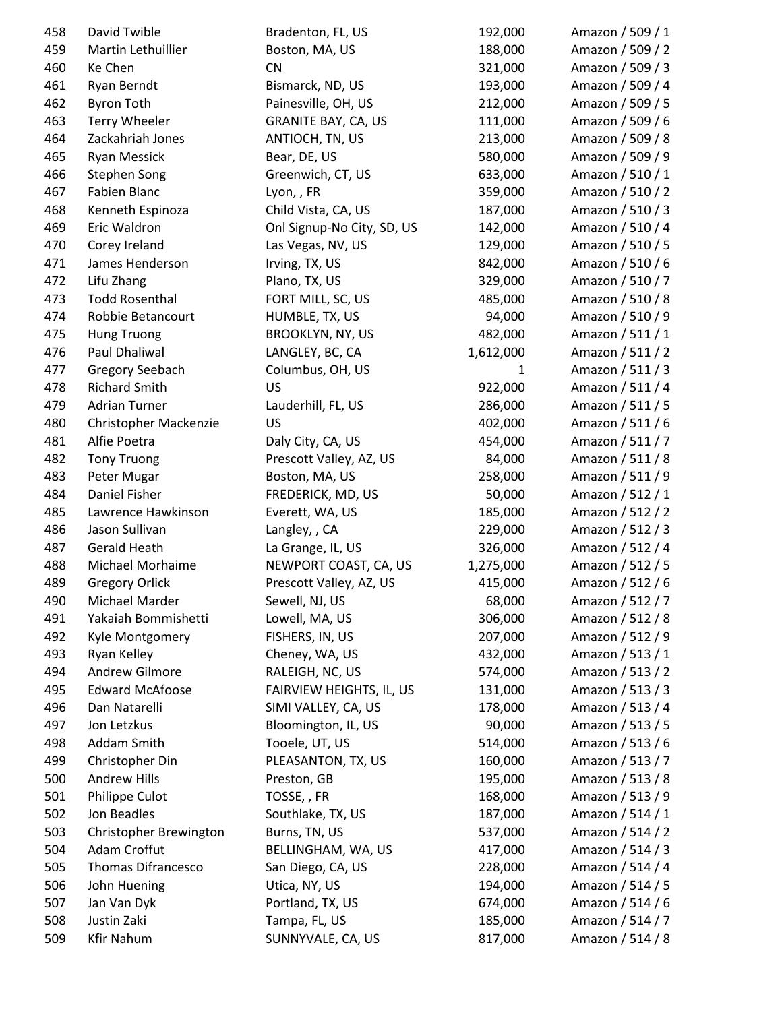| 458 | David Twible              | Bradenton, FL, US          | 192,000   | Amazon / 509 / 1 |
|-----|---------------------------|----------------------------|-----------|------------------|
| 459 | Martin Lethuillier        | Boston, MA, US             | 188,000   | Amazon / 509 / 2 |
| 460 | Ke Chen                   | <b>CN</b>                  | 321,000   | Amazon / 509 / 3 |
| 461 | Ryan Berndt               | Bismarck, ND, US           | 193,000   | Amazon / 509 / 4 |
| 462 | <b>Byron Toth</b>         | Painesville, OH, US        | 212,000   | Amazon / 509 / 5 |
| 463 | <b>Terry Wheeler</b>      | <b>GRANITE BAY, CA, US</b> | 111,000   | Amazon / 509 / 6 |
| 464 | Zackahriah Jones          | ANTIOCH, TN, US            | 213,000   | Amazon / 509 / 8 |
| 465 | <b>Ryan Messick</b>       | Bear, DE, US               | 580,000   | Amazon / 509 / 9 |
| 466 | <b>Stephen Song</b>       | Greenwich, CT, US          | 633,000   | Amazon / 510 / 1 |
| 467 | Fabien Blanc              | Lyon, , FR                 | 359,000   | Amazon / 510 / 2 |
| 468 | Kenneth Espinoza          | Child Vista, CA, US        | 187,000   | Amazon / 510 / 3 |
| 469 | Eric Waldron              | Onl Signup-No City, SD, US | 142,000   | Amazon / 510 / 4 |
| 470 | Corey Ireland             | Las Vegas, NV, US          | 129,000   | Amazon / 510 / 5 |
| 471 | James Henderson           | Irving, TX, US             | 842,000   | Amazon / 510 / 6 |
| 472 | Lifu Zhang                | Plano, TX, US              | 329,000   | Amazon / 510 / 7 |
| 473 | <b>Todd Rosenthal</b>     | FORT MILL, SC, US          | 485,000   | Amazon / 510 / 8 |
| 474 | Robbie Betancourt         | HUMBLE, TX, US             | 94,000    | Amazon / 510 / 9 |
| 475 | <b>Hung Truong</b>        | <b>BROOKLYN, NY, US</b>    | 482,000   | Amazon / 511 / 1 |
| 476 | Paul Dhaliwal             | LANGLEY, BC, CA            | 1,612,000 | Amazon / 511 / 2 |
| 477 | Gregory Seebach           | Columbus, OH, US           | 1         | Amazon / 511 / 3 |
| 478 | <b>Richard Smith</b>      | US                         | 922,000   | Amazon / 511 / 4 |
| 479 | <b>Adrian Turner</b>      | Lauderhill, FL, US         | 286,000   | Amazon / 511 / 5 |
| 480 | Christopher Mackenzie     | <b>US</b>                  | 402,000   | Amazon / 511 / 6 |
| 481 | Alfie Poetra              | Daly City, CA, US          | 454,000   | Amazon / 511 / 7 |
| 482 | <b>Tony Truong</b>        | Prescott Valley, AZ, US    | 84,000    | Amazon / 511 / 8 |
| 483 | Peter Mugar               | Boston, MA, US             | 258,000   | Amazon / 511 / 9 |
| 484 | Daniel Fisher             | FREDERICK, MD, US          | 50,000    | Amazon / 512 / 1 |
| 485 | Lawrence Hawkinson        | Everett, WA, US            | 185,000   | Amazon / 512 / 2 |
| 486 | Jason Sullivan            | Langley, , CA              | 229,000   | Amazon / 512 / 3 |
| 487 | Gerald Heath              | La Grange, IL, US          | 326,000   | Amazon / 512 / 4 |
| 488 | Michael Morhaime          | NEWPORT COAST, CA, US      | 1,275,000 | Amazon / 512 / 5 |
| 489 | <b>Gregory Orlick</b>     | Prescott Valley, AZ, US    | 415,000   | Amazon / 512 / 6 |
| 490 | Michael Marder            | Sewell, NJ, US             | 68,000    | Amazon / 512 / 7 |
| 491 | Yakaiah Bommishetti       | Lowell, MA, US             | 306,000   | Amazon / 512 / 8 |
| 492 | Kyle Montgomery           | FISHERS, IN, US            | 207,000   | Amazon / 512 / 9 |
| 493 | Ryan Kelley               | Cheney, WA, US             | 432,000   | Amazon / 513 / 1 |
| 494 | <b>Andrew Gilmore</b>     | RALEIGH, NC, US            | 574,000   | Amazon / 513 / 2 |
| 495 | <b>Edward McAfoose</b>    | FAIRVIEW HEIGHTS, IL, US   | 131,000   | Amazon / 513 / 3 |
| 496 | Dan Natarelli             | SIMI VALLEY, CA, US        | 178,000   | Amazon / 513 / 4 |
| 497 | Jon Letzkus               | Bloomington, IL, US        | 90,000    | Amazon / 513 / 5 |
| 498 | Addam Smith               | Tooele, UT, US             | 514,000   | Amazon / 513 / 6 |
| 499 | Christopher Din           | PLEASANTON, TX, US         | 160,000   | Amazon / 513 / 7 |
| 500 | <b>Andrew Hills</b>       | Preston, GB                | 195,000   | Amazon / 513 / 8 |
| 501 | Philippe Culot            | TOSSE, , FR                | 168,000   | Amazon / 513 / 9 |
| 502 | Jon Beadles               | Southlake, TX, US          | 187,000   | Amazon / 514 / 1 |
| 503 | Christopher Brewington    | Burns, TN, US              | 537,000   | Amazon / 514 / 2 |
| 504 | Adam Croffut              | BELLINGHAM, WA, US         | 417,000   | Amazon / 514 / 3 |
| 505 | <b>Thomas Difrancesco</b> | San Diego, CA, US          | 228,000   | Amazon / 514 / 4 |
| 506 | John Huening              | Utica, NY, US              | 194,000   | Amazon / 514 / 5 |
| 507 | Jan Van Dyk               | Portland, TX, US           | 674,000   | Amazon / 514 / 6 |
| 508 | Justin Zaki               | Tampa, FL, US              | 185,000   | Amazon / 514 / 7 |
| 509 | <b>Kfir Nahum</b>         | SUNNYVALE, CA, US          | 817,000   | Amazon / 514 / 8 |
|     |                           |                            |           |                  |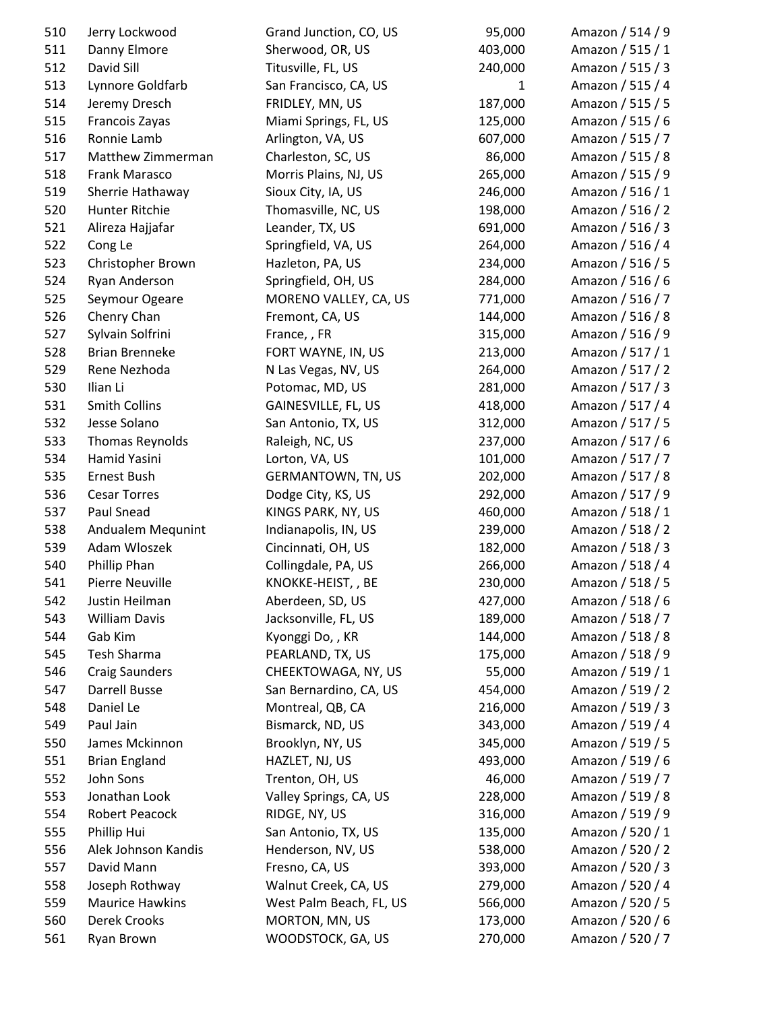| 510 | Jerry Lockwood         | Grand Junction, CO, US                     | 95,000             | Amazon / 514 / 9                     |
|-----|------------------------|--------------------------------------------|--------------------|--------------------------------------|
| 511 | Danny Elmore           | Sherwood, OR, US                           | 403,000            | Amazon / 515 / 1                     |
| 512 | David Sill             | Titusville, FL, US                         | 240,000            | Amazon / 515 / 3                     |
| 513 | Lynnore Goldfarb       | San Francisco, CA, US                      | 1                  | Amazon / 515 / 4                     |
| 514 | Jeremy Dresch          | FRIDLEY, MN, US                            | 187,000            | Amazon / 515 / 5                     |
| 515 | Francois Zayas         | Miami Springs, FL, US                      | 125,000            | Amazon / 515 / 6                     |
| 516 | Ronnie Lamb            | Arlington, VA, US                          | 607,000            | Amazon / 515 / 7                     |
| 517 | Matthew Zimmerman      | Charleston, SC, US                         | 86,000             | Amazon / 515 / 8                     |
| 518 | Frank Marasco          | Morris Plains, NJ, US                      | 265,000            | Amazon / 515 / 9                     |
| 519 | Sherrie Hathaway       | Sioux City, IA, US                         | 246,000            | Amazon / 516 / 1                     |
| 520 | Hunter Ritchie         | Thomasville, NC, US                        | 198,000            | Amazon / 516 / 2                     |
| 521 | Alireza Hajjafar       | Leander, TX, US                            | 691,000            | Amazon / 516 / 3                     |
| 522 | Cong Le                | Springfield, VA, US                        | 264,000            | Amazon / 516 / 4                     |
| 523 | Christopher Brown      | Hazleton, PA, US                           | 234,000            | Amazon / 516 / 5                     |
| 524 | Ryan Anderson          | Springfield, OH, US                        | 284,000            | Amazon / 516 / 6                     |
| 525 | Seymour Ogeare         | MORENO VALLEY, CA, US                      | 771,000            | Amazon / 516 / 7                     |
| 526 | Chenry Chan            | Fremont, CA, US                            | 144,000            | Amazon / 516 / 8                     |
| 527 | Sylvain Solfrini       | France, , FR                               | 315,000            | Amazon / 516 / 9                     |
| 528 | <b>Brian Brenneke</b>  | FORT WAYNE, IN, US                         | 213,000            | Amazon / 517 / 1                     |
| 529 | Rene Nezhoda           | N Las Vegas, NV, US                        | 264,000            | Amazon / 517 / 2                     |
| 530 | Ilian Li               | Potomac, MD, US                            | 281,000            | Amazon / 517 / 3                     |
| 531 | Smith Collins          | GAINESVILLE, FL, US                        | 418,000            | Amazon / 517 / 4                     |
| 532 | Jesse Solano           | San Antonio, TX, US                        | 312,000            | Amazon / 517 / 5                     |
| 533 | Thomas Reynolds        | Raleigh, NC, US                            | 237,000            | Amazon / 517 / 6                     |
| 534 | Hamid Yasini           | Lorton, VA, US                             | 101,000            | Amazon / 517 / 7                     |
| 535 | Ernest Bush            | <b>GERMANTOWN, TN, US</b>                  | 202,000            | Amazon / 517 / 8                     |
| 536 | <b>Cesar Torres</b>    | Dodge City, KS, US                         | 292,000            | Amazon / 517 / 9                     |
| 537 | Paul Snead             | KINGS PARK, NY, US                         | 460,000            | Amazon / 518 / 1                     |
| 538 | Andualem Mequnint      |                                            | 239,000            | Amazon / 518 / 2                     |
| 539 | Adam Wloszek           | Indianapolis, IN, US<br>Cincinnati, OH, US | 182,000            | Amazon / 518 / 3                     |
|     | Phillip Phan           |                                            |                    | Amazon / 518 / 4                     |
| 540 |                        | Collingdale, PA, US                        | 266,000            |                                      |
| 541 | Pierre Neuville        | KNOKKE-HEIST, , BE                         | 230,000<br>427,000 | Amazon / 518 / 5<br>Amazon / 518 / 6 |
| 542 | Justin Heilman         | Aberdeen, SD, US                           |                    |                                      |
| 543 | <b>William Davis</b>   | Jacksonville, FL, US                       | 189,000            | Amazon / 518 / 7                     |
| 544 | Gab Kim                | Kyonggi Do, , KR                           | 144,000            | Amazon / 518 / 8                     |
| 545 | Tesh Sharma            | PEARLAND, TX, US                           | 175,000            | Amazon / 518 / 9                     |
| 546 | <b>Craig Saunders</b>  | CHEEKTOWAGA, NY, US                        | 55,000             | Amazon / 519 / 1                     |
| 547 | <b>Darrell Busse</b>   | San Bernardino, CA, US                     | 454,000            | Amazon / 519 / 2                     |
| 548 | Daniel Le              | Montreal, QB, CA                           | 216,000            | Amazon / 519 / 3                     |
| 549 | Paul Jain              | Bismarck, ND, US                           | 343,000            | Amazon / 519 / 4                     |
| 550 | James Mckinnon         | Brooklyn, NY, US                           | 345,000            | Amazon / 519 / 5                     |
| 551 | <b>Brian England</b>   | HAZLET, NJ, US                             | 493,000            | Amazon / 519 / 6                     |
| 552 | John Sons              | Trenton, OH, US                            | 46,000             | Amazon / 519 / 7                     |
| 553 | Jonathan Look          | Valley Springs, CA, US                     | 228,000            | Amazon / 519 / 8                     |
| 554 | Robert Peacock         | RIDGE, NY, US                              | 316,000            | Amazon / 519 / 9                     |
| 555 | Phillip Hui            | San Antonio, TX, US                        | 135,000            | Amazon / 520 / 1                     |
| 556 | Alek Johnson Kandis    | Henderson, NV, US                          | 538,000            | Amazon / 520 / 2                     |
| 557 | David Mann             | Fresno, CA, US                             | 393,000            | Amazon / 520 / 3                     |
| 558 | Joseph Rothway         | Walnut Creek, CA, US                       | 279,000            | Amazon / 520 / 4                     |
| 559 | <b>Maurice Hawkins</b> | West Palm Beach, FL, US                    | 566,000            | Amazon / 520 / 5                     |
| 560 | <b>Derek Crooks</b>    | MORTON, MN, US                             | 173,000            | Amazon / 520 / 6                     |
| 561 | Ryan Brown             | WOODSTOCK, GA, US                          | 270,000            | Amazon / 520 / 7                     |